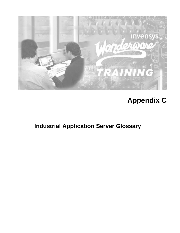

# **Appendix C**

**Industrial Application Server Glossary**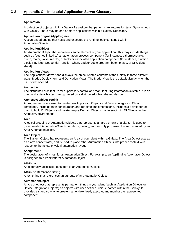# **Application**

A collection of objects within a Galaxy Repository that performs an automation task. Synonymous with Galaxy. There may be one or more applications within a Galaxy Repository.

## **Application Engine (AppEngine)**

A scan-based engine that hosts and executes the runtime logic contained within AutomationObjects.

## **ApplicationObject**

An AutomationObject that represents some element of your application. This may include things such as (but not limited to) an automation process component (for instance, a thermocouple, pump, motor, valve, reactor, or tank) or associated application component (for instance, function block, PID loop, Sequential Function Chart, Ladder Logic program, batch phase, or SPC data sheet).

## **Application Views**

The Applications Views pane displays the object-related contents of the Galaxy in three different ways: Model, Deployment, and Derivation Views. The Model View is the default display when the IDE is first opened.

## **ArchestrA**

The distributed architecture for supervisory control and manufacturing information systems. It is an open and extensible technology based on a distributed, object-based design.

## **ArchestrA Object Toolkit**

A programmer's tool used to create new ApplicationObjects and Device Integration Object Templates, including their configuration and run-time implementations. Includes a developer tool used to build DI Objects and create unique Domain Objects that interact with DI Objects in the ArchestrA environment.

#### **Area**

A logical grouping of AutomationObjects that represents an area or unit of a plant. It is used to group related AutomationObjects for alarm, history, and security purposes. It is represented by an Area AutomationObject.

#### **Area Object**

The System Object that represents an Area of your plant within a Galaxy. The Area Object acts as an alarm concentrator, and is used to place other Automation Objects into proper context with respect to the actual physical automation layout.

#### **Assignment**

The designation of a host for an AutomationObject. For example, an AppEngine AutomationObject is assigned to a WinPlatform AutomationObject.

#### **Attribute**

An externally accessible data item of an AutomationObject.

#### **Attribute Reference String**

A text string that references an attribute of an AutomationObject.

## **AutomationObject**

A type of object that represents permanent things in your plant (such as Application Objects or Device Integration Objects) as objects with user-defined, unique names within the Galaxy. It provides a standard way to create, name, download, execute, and monitor the represented component.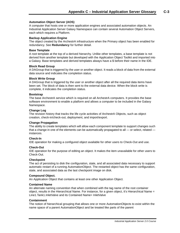## **Automation Object Server (AOS)**

A computer that hosts one or more application engines and associated automation objects. An Industrial Application Server Galaxy Namespace can contain several Automation Object Servers, each which requires a Platform.

#### **Backup Application Engine**

The object created by the ArchestrA infrastructure when the Primary object has been enabled for redundancy. See **Redundancy** for further detail.

#### **Base Template**

A root template at the top of a derived hierarchy. Unlike other templates, a base template is not derived from another template but developed with the Application Object Toolkit and imported into a Galaxy. Base templates and derived templates always have a \$ before their name in the IDE.

#### **Block Read Group**

A DAGroup that is triggered by the user or another object. It reads a block of data from the external data source and indicates the completion status.

#### **Block Write Group**

A DAGroup that is triggered by the user or another object after all the required data items have been set. The block of data is then sent to the external data device. When the block write is complete, it indicates the completion status.

#### **Bootstrap**

The base ArchestrA service which is required on all ArchestrA computers. It provides the base software environment to enable a platform and allows a computer to be included in the Galaxy Namespace.

#### **Change Log**

The revision history that tracks the life cycle activities of ArchestrA Objects, such as object creation, check-in/check-out, deployment, and import/export.

## **Change Propagation**

The ability to create templates which will allow each component template to support changes such that a change in one of the elements can be automatically propagated to all  $-$  or select, related  $$ instances.

#### **Check-In**

IDE operation for making a configured object available for other users to Check-Out and use.

#### **Check-Out**

IDE operation for the purpose of editing an object. It makes the item unavailable for other users to Check-Out.

#### **Checkpoint**

The act of persisting to disk the configuration, state, and all associated data necessary to support automatic restart of a running AutomationObject. The restarted object has the same configuration, state, and associated data as the last checkpoint image on disk.

#### **Compound Object.**

An Application Object that contains at least one other Application Object.

#### **Contained Name**

An alternate naming convention that when combined with the tag name of the root container object, results in the Hierarchical Name. For instance, for a given object, it's Hierarchical Name = Line1.Tank1.InletValve and its Contained Name= InletValve

#### **Containment**

The notion of hierarchical grouping that allows one or more AutomationObjects to exist within the name space of a parent AutomationObject and be treated like parts of the parent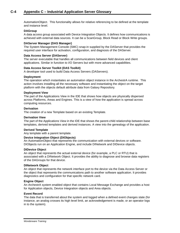AutomationObject. This functionality allows for relative referencing to be defined at the template and instance level.

## **DAGroup**

A data access group associated with Device Integration Objects. It defines how communications is achieved with external data sources. It can be a ScanGroup, Block Read or Block Write groups.

## **DAServer Manager (DAS Manager)**

The System Management Console (SMC) snap-in supplied by the DAServer that provides the required user interface for activation, configuration, and diagnosis of the DAServer.

## **Data Access Server (DAServer)**

The server executable that handles all communications between field devices and client applications. Similar in function to I/O Servers but with more advanced capabilities.

## **Data Access Server Toolkit (DAS Toolkit)**

A developer tool used to build Data Access Servers (DAServers).

## **Deployment**

The operation which instantiates an automation object instance in the ArchestrA runtime. This action involves installing all the necessary software and instantiating the object on the target platform with the objects default attribute data from Galaxy Repository.

## **Deployment View**

The part of the Applications View in the IDE that shows how objects are physically dispersed across Platforms, Areas and Engines. This is a view of how the application is spread across computing resources.

## **Derivation**

The creation of a new Template based on an existing Template.

## **Derivation View**

The part of the Applications View in the IDE that shows the parent-child relationship between base templates, derived templates and derived instances. A view into the genealogy of the application.

## **Derived Template**

Any template with a parent template.

## **Device Integration Object (DIObjects)**

An AutomationObject that represents the communication with external devices or software. DIObjects run on an Application Engine, and include DINetwork and DIDevice objects.

#### **DIDevice Object**

An object that represents the actual external device (for example, a PLC or RTU) that is associated with a DINetwork Object. It provides the ability to diagnose and browse data registers of the DAGroups for that device.

#### **DINetwork Object**

An object that represents the network interface port to the device via the Data Access Server or the object that represents the communications path to another software application. It provides diagnostics and configuration for that specific network card.

## **Engine Object**

An ArchestrA system enabled object that contains Local Message Exchange and provides a host for Application objects, Device Integration objects and Area objects.

#### **Event Record**

The data that is transferred about the system and logged when a defined event changes state (for instance, an analog crosses its high level limit, an acknowledgement is made, or an operator logs in to the system).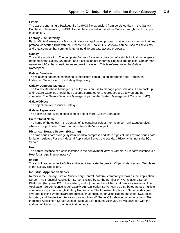## **Export**

The act of generating a Package file (.aaPKG file extension) from persisted data in the Galaxy Database. The resulting .aaPKG file can be imported into another Galaxy through the IDE import mechanism.

#### **FactorySuite Gateway**

FactorySuite Gateway is a Microsoft Windows application program that acts as a communications protocol converter. Built with the ArchestrA DAS Toolkit, FS Gateway can be used to link clients and data sources that communicate using different data access protocals.

#### **Galaxy**

The entire application. The complete ArchestrA system consisting of a single logical name space (defined by the Galaxy Database) and a collection of Platforms, Engines and objects. One or more networked PC's that constitute an automation system. This is referred to as the Galaxy Namespace.

## **Galaxy Database**

The relational database containing all persistent configuration information like Templates, Instances, Security, etc. in a Galaxy Repository.

## **Galaxy Database Manager**

The Galaxy Database Manager is a utility you can use to manage your Galaxies. It can back up and restore Galaxies should they become corrupted or to reproduce a Galaxy on another computer. The Galaxy Database Manager is part of the System Management Console (SMC).

## **GalaxyObject**

The object that represents a Galaxy.

## **Galaxy Repository**

The software sub-system consisting of one or more Galaxy Databases.

#### **Hierarchical Name**

The name of the object in the context of its container object. For instance, Tank1.OutletValve, where an object called Tank1 contains the OutletValve object.

# **Historical Storage System (Historian)**

The time series data storage system, used to compress and store high volumes of time series data for latter retrieval. For the Industrial Application Server, the standard Historian is IndustrialSQL Server.

# **Host**

The parent instance of a child instance in the deployment view. (Example: a Platform instance is a Host for an AppEngine instance).

# **Import**

The act of reading a .aaPKG File and using it to create AutomationObject instances and Templates in the Galaxy Repository.

#### **Industrial Application Server**

Refers to the FactorySuite A<sup>2</sup> Supervisory Control Platform, commonly known as the Application Server. The Industrial Application Server is sized by (a) the number of Workstation / Server Platforms, (b) by real I/O in the system, and (c) the number of Terminal Services sessions. The Application Server license is per Galaxy. An Application Server can be distributed across multiple computers as part of a single Galaxy Namespace. The Industrial Application Server is designed to leverage existing Wonderware products such as InTouch for visualization, Industrial SQL as its historian, and the device Integration product line (I/O Servers) for device communications. The Industrial Application Server uses InTouch v8.0 or InTouch View v8.0 for visualization with the addition of Platforms to the visualization node.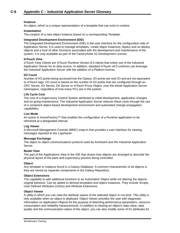## **Instance**

An object, which is a unique representation of a template that can exist in runtime.

#### **Instantiation**

The creation of a new object instance based on a corresponding Template.

## **Integrated Development Environment (IDE)**

The Integrated Development Environment (IDE) is the user interface for the configuration side of Application Server. It is used to manage templates, create object instances, deploy and un-deploy objects and a host of other functions associated with the development and maintenance of the system. It is only available as part of the FactorySuite A2 Development License.

#### **InTouch View**

InTouch View Clients are InTouch Runtime Version 8.0 clients that solely use of the Industrial Application Server for its data source. In addition, standard InTouch v8.0 runtimes can leverage the Industrial Application Server with the addition of a Platform license.

#### **I/O Count**

Number of I/O points being accessed into the Galaxy. I/O points are real I/O and are not equivalent to InTouch tags. I/O count is based on the number of I/O points that are configured through an OPC Server, I/O Server, DA Server or InTouch Proxy Object, over the whole Application Server namespace, regardless of how many PCs are in the system.

#### **Life Cycle Cost**

The cost of a Supervisory Control System attributed to initial development, application changes and on-going maintenance. The Industrial Application Server reduces these costs through the use of a compnent object-based development environment and automated change propagation capabilities.

#### **Live Mode**

An action in ActiveFactory™ that enables the configuration of a Runtime application to be refreshed at a designated interval.

#### **Log Viewer**

A Microsoft Management Console (MMC) snap-in that provides a user interface for viewing messages reported to the LogViewer.

#### **Message Exchange**

The object to object communications protocol used by ArchestrA and the Industrial Application Server.

#### **Model View**

The part of the Applications View in the IDE that shows how objects are arranged to describe the physical layout of the plant and supervisory process being controlled.

#### **Object**

Any template or instance found in a Galaxy Database. A common characteristic of all objects is they are stored as separate components in the Galaxy Repository.

#### **Object Extensions**

The capability to add additional functions to an Automation Object while not altering the objects original behavior. Can be added to derived templates and object instances. They include Scripts, User Defined Attributes (UDAs) and Attribute Extensions.

#### **Object Viewer**

A utility in which you can view the attribute values of the selected object in run-time. This utility is only available when an object is deployed. Object Viewer provides the user with diagnostic information on Application Objects for the purpose of detecting performance parameters, resource consumption and reliability measurements. In addition to viewing an object's data value, data quality and the communication status of the object, you can also modify some of it's attributes for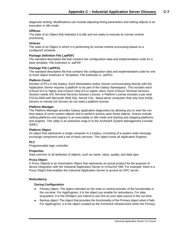diagnostic testing. Modifications can include adjusting timing parameters and setting objects in an execution or idle mode.

## **OffScan**

The state of an Object that indicates it is idle and not ready to execute its normal runtime processing.

## **OnScan**

The state of an Object in which it is performing its normal runtime processing based on a configured schedule.

## **Package Definition File (.aaPDF)**

The standard description file that contains the configuration data and implementation code for a base template. File extension is .aaPDF.

## **Package File (.aaPKG)**

The standard description file that contains the configuration data and implementation code for one or more object instances or Templates. File extension is .aaPKG.

## **Platform Count**

Number of PCs in the Galaxy. Each Workstation and/or Server communicating directly with the Application Server requires a platform to be part of the Galaxy Namespace. This includes each InTouch 8.0 or higher and InTouch View 8.0 or higher client. Each InTouch Terminal Services Session needs IAS Terminal Services Session License. A Platform License includes a per seat FSCAL2000 with Microsoft 2000 SQL Server CAL. Stand-alone computers that only host InSQL Servers or remote DA Servers do not need a platform license.

## **Platform Manager**

The Platform Manager provides Galaxy application diagnostics by allowing you to view the runtime status of some system objects and to perform actions upon those objects. Actions include setting platforms and engines in an executable or idle mode and starting and stopping platforms and engines. This utility is an extension snap-in to the ArchestrA System Management Console (SMC).

# **Platform Object**

An object that represents a single computer in a Galaxy, consisting of a system wide message exchange component and a set of basic services. This object hosts all Application Engines.

# **PLC**

Programmable logic controller.

#### **Properties**

Data common to all attributes of objects, such as name, value, quality, and data type.

# **Proxy Object**

A Proxy Objects is an Automation Object that represents an actual product for the purpose of device integration with the Industrial Application Server or InTouch® HMI. For example, there is a Proxy Object that enables the Industrial Application Server to access an OPC server.

# **Redundancy**

# **During Configuration**

- Primary object: The object intended as the main or central provider of the functionality in the run-time. For AppEngines, it is the object you enable for redundancy. For data acquisition, it is the DIObject you intend to use first as your data source in the run-time.
- Backup object: The object that provides the functionality of the Primary object when it fails. For AppEngines, it is the object created by the ArchestrA infrastructure when the Primary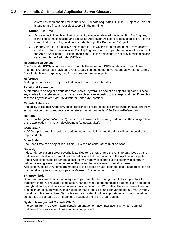object has been enabled for redundancy. For data acquisition, it is the DIObject you do not intend to use first as your data source in the run-time.

## **During Run-Time**

- Active object: The object that is currently executing desired functions. For AppEngines, it is the object that is hosting and executing ApplicationObjects. For data acquisition, it is the object that is providing field device data through the RedundantDIObject.
- Standby object: The passive object; that is, it is waiting for a failure in the Active object's condition or for a force-failover. For AppEngines, it is the object that monitors the status of the Active AppEngine. For data acquisition, it is the object that is not providing field device data through the RedundantDIObject.

#### **Redundant DI Object**

The RedundantDIObject monitors and controls the redundant DIObject data sources. Unlike redundant AppEngines, individual DIObject data sources do not have redundancy-related states. For all intents and purposes, they function as standalone objects.

## **Reference**

A string that refers to an object or to data within one of its attributes.

## **Relational Reference**

A reference to an object's attributes that uses a keyword in place of an object's tagname. These keywords allow a reference to be made by an object's relationship to the target attribute. Examples of these keywords are "Me", "MyPlatform", and "MyContainer".

#### **Remote Reference**

The ability to redirect ArchestrA object references or references to remote InTouch tags. The new script function used to redirect remote references at runtime is IOSetRemoteReferences.

## **Runtime**

The InTouch® (WindowViewer™) function that provides the viewing of data from the configuration of the application in InTouch development (WindowMaker).

#### **Scan Group**

A DAGroup that requires only the update interval be defined and the data will be retrieved at the requested rate.

#### **Scan State**

The Scan State of an object in run-time. This can be either off-scan or on-scan.

#### **Security**

Industrial Application Server security is applied to IDE, SMC, and the runtime data level. At the runtime data level which centralizes the definition of all permissions to the ApplicationObjects. These ApplicationObjects can be accessed by a variety of clients but the security is centrally defined allowing ease of maintenance. The users that are allowed to modify these ApplicationObjects at runtime are mapped to the objects by user defined roles. These roles can be mapped directly to existing groups in a Microsoft Domain or workgroup.

#### **SmartSymbols**

SmartSymbols are objects that integrate object-oriented technology with InTouch graphics to transform them into reusable templates. Changes made to the templates automatically propagate throughout an application – even across multiple networked PC nodes. They are created from a graphic in an InTouch window that has been made into a cell and converted into a SmartSymbol. In addition, libraries of SmartSymbols can be exported to other applications and plants, enabling companies to standardize on graphics throughout the entire organization.

# **System Management Console (SMC)**

The central runtime system administration/management user interface in which all required runtime administration functions can be accomplished.